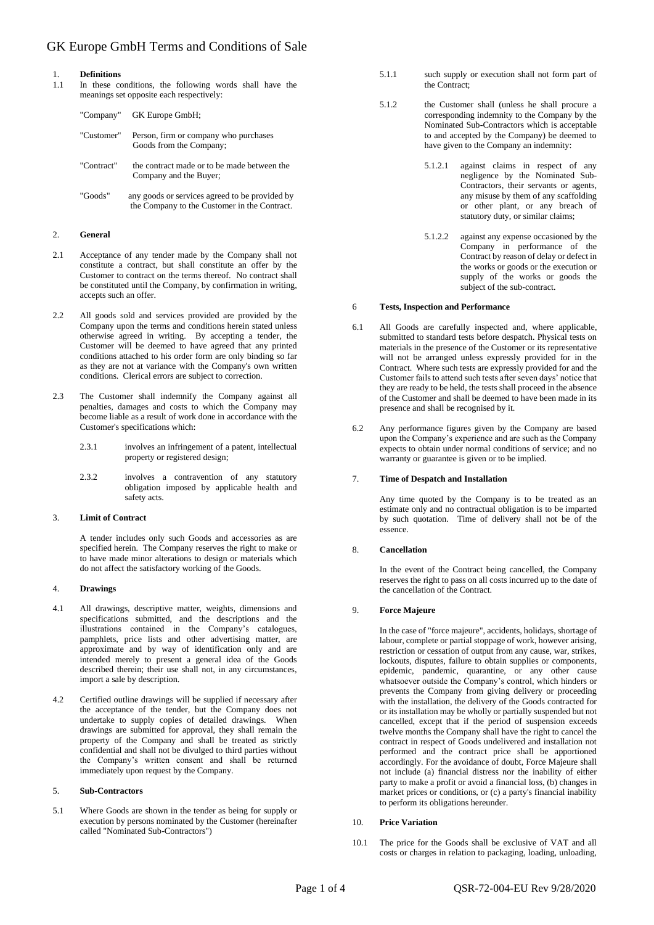## GK Europe GmbH Terms and Conditions of Sale

# 1. **Definitions**

In these conditions, the following words shall have the meanings set opposite each respectively:

|            | "Company" GK Europe GmbH;                                                                      |
|------------|------------------------------------------------------------------------------------------------|
| "Customer" | Person, firm or company who purchases<br>Goods from the Company;                               |
| "Contract" | the contract made or to be made between the<br>Company and the Buyer;                          |
| "Goods"    | any goods or services agreed to be provided by<br>the Company to the Customer in the Contract. |

### 2. **General**

- 2.1 Acceptance of any tender made by the Company shall not constitute a contract, but shall constitute an offer by the Customer to contract on the terms thereof. No contract shall be constituted until the Company, by confirmation in writing, accepts such an offer.
- 2.2 All goods sold and services provided are provided by the Company upon the terms and conditions herein stated unless otherwise agreed in writing. By accepting a tender, the Customer will be deemed to have agreed that any printed conditions attached to his order form are only binding so far as they are not at variance with the Company's own written conditions. Clerical errors are subject to correction.
- 2.3 The Customer shall indemnify the Company against all penalties, damages and costs to which the Company may become liable as a result of work done in accordance with the Customer's specifications which:
	- 2.3.1 involves an infringement of a patent, intellectual property or registered design;
	- 2.3.2 involves a contravention of any statutory obligation imposed by applicable health and safety acts.

#### 3. **Limit of Contract**

A tender includes only such Goods and accessories as are specified herein. The Company reserves the right to make or to have made minor alterations to design or materials which do not affect the satisfactory working of the Goods.

#### 4. **Drawings**

- 4.1 All drawings, descriptive matter, weights, dimensions and specifications submitted, and the descriptions and the illustrations contained in the Company's catalogues, pamphlets, price lists and other advertising matter, are approximate and by way of identification only and are intended merely to present a general idea of the Goods described therein; their use shall not, in any circumstances, import a sale by description.
- 4.2 Certified outline drawings will be supplied if necessary after the acceptance of the tender, but the Company does not undertake to supply copies of detailed drawings. When drawings are submitted for approval, they shall remain the property of the Company and shall be treated as strictly confidential and shall not be divulged to third parties without the Company's written consent and shall be returned immediately upon request by the Company.

#### 5. **Sub-Contractors**

5.1 Where Goods are shown in the tender as being for supply or execution by persons nominated by the Customer (hereinafter called "Nominated Sub-Contractors")

- 5.1.1 such supply or execution shall not form part of the Contract;
- 5.1.2 the Customer shall (unless he shall procure a corresponding indemnity to the Company by the Nominated Sub-Contractors which is acceptable to and accepted by the Company) be deemed to have given to the Company an indemnity:
	- 5.1.2.1 against claims in respect of any negligence by the Nominated Sub-Contractors, their servants or agents, any misuse by them of any scaffolding or other plant, or any breach of statutory duty, or similar claims;
	- 5.1.2.2 against any expense occasioned by the Company in performance of the Contract by reason of delay or defect in the works or goods or the execution or supply of the works or goods the subject of the sub-contract.

#### 6 **Tests, Inspection and Performance**

- 6.1 All Goods are carefully inspected and, where applicable, submitted to standard tests before despatch. Physical tests on materials in the presence of the Customer or its representative will not be arranged unless expressly provided for in the Contract. Where such tests are expressly provided for and the Customer fails to attend such tests after seven days' notice that they are ready to be held, the tests shall proceed in the absence of the Customer and shall be deemed to have been made in its presence and shall be recognised by it.
- 6.2 Any performance figures given by the Company are based upon the Company's experience and are such as the Company expects to obtain under normal conditions of service; and no warranty or guarantee is given or to be implied.

#### 7. **Time of Despatch and Installation**

Any time quoted by the Company is to be treated as an estimate only and no contractual obligation is to be imparted by such quotation. Time of delivery shall not be of the essence.

#### 8. **Cancellation**

In the event of the Contract being cancelled, the Company reserves the right to pass on all costs incurred up to the date of the cancellation of the Contract.

#### 9. **Force Majeure**

In the case of "force majeure", accidents, holidays, shortage of labour, complete or partial stoppage of work, however arising, restriction or cessation of output from any cause, war, strikes, lockouts, disputes, failure to obtain supplies or components, epidemic, pandemic, quarantine, or any other cause whatsoever outside the Company's control, which hinders or prevents the Company from giving delivery or proceeding with the installation, the delivery of the Goods contracted for or its installation may be wholly or partially suspended but not cancelled, except that if the period of suspension exceeds twelve months the Company shall have the right to cancel the contract in respect of Goods undelivered and installation not performed and the contract price shall be apportioned accordingly. For the avoidance of doubt, Force Majeure shall not include (a) financial distress nor the inability of either party to make a profit or avoid a financial loss, (b) changes in market prices or conditions, or (c) a party's financial inability to perform its obligations hereunder.

#### 10. **Price Variation**

10.1 The price for the Goods shall be exclusive of VAT and all costs or charges in relation to packaging, loading, unloading,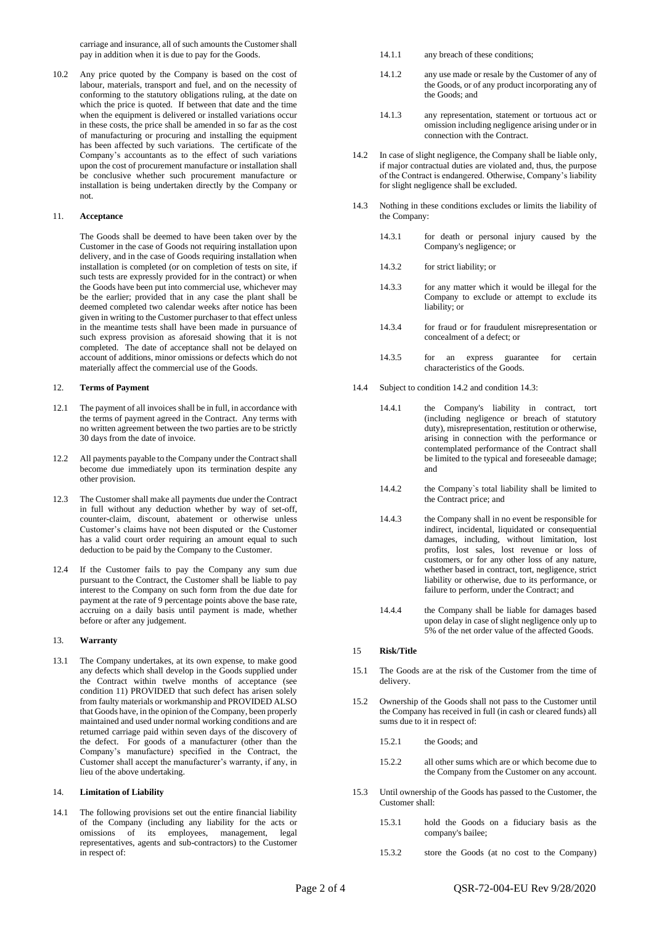carriage and insurance, all of such amounts the Customer shall pay in addition when it is due to pay for the Goods.

10.2 Any price quoted by the Company is based on the cost of labour, materials, transport and fuel, and on the necessity of conforming to the statutory obligations ruling, at the date on which the price is quoted. If between that date and the time when the equipment is delivered or installed variations occur in these costs, the price shall be amended in so far as the cost of manufacturing or procuring and installing the equipment has been affected by such variations. The certificate of the Company's accountants as to the effect of such variations upon the cost of procurement manufacture or installation shall be conclusive whether such procurement manufacture or installation is being undertaken directly by the Company or not.

#### 11. **Acceptance**

The Goods shall be deemed to have been taken over by the Customer in the case of Goods not requiring installation upon delivery, and in the case of Goods requiring installation when installation is completed (or on completion of tests on site, if such tests are expressly provided for in the contract) or when the Goods have been put into commercial use, whichever may be the earlier; provided that in any case the plant shall be deemed completed two calendar weeks after notice has been given in writing to the Customer purchaser to that effect unless in the meantime tests shall have been made in pursuance of such express provision as aforesaid showing that it is not completed. The date of acceptance shall not be delayed on account of additions, minor omissions or defects which do not materially affect the commercial use of the Goods.

#### 12. **Terms of Payment**

- 12.1 The payment of all invoices shall be in full, in accordance with the terms of payment agreed in the Contract. Any terms with no written agreement between the two parties are to be strictly 30 days from the date of invoice.
- 12.2 All payments payable to the Company under the Contract shall become due immediately upon its termination despite any other provision.
- 12.3 The Customer shall make all payments due under the Contract in full without any deduction whether by way of set-off, counter-claim, discount, abatement or otherwise unless Customer's claims have not been disputed or the Customer has a valid court order requiring an amount equal to such deduction to be paid by the Company to the Customer.
- 12.4 If the Customer fails to pay the Company any sum due pursuant to the Contract, the Customer shall be liable to pay interest to the Company on such form from the due date for payment at the rate of 9 percentage points above the base rate, accruing on a daily basis until payment is made, whether before or after any judgement.

#### 13. **Warranty**

13.1 The Company undertakes, at its own expense, to make good any defects which shall develop in the Goods supplied under the Contract within twelve months of acceptance (see condition 11) PROVIDED that such defect has arisen solely from faulty materials or workmanship and PROVIDED ALSO that Goods have, in the opinion of the Company, been properly maintained and used under normal working conditions and are returned carriage paid within seven days of the discovery of the defect. For goods of a manufacturer (other than the Company's manufacture) specified in the Contract, the Customer shall accept the manufacturer's warranty, if any, in lieu of the above undertaking.

#### 14. **Limitation of Liability**

14.1 The following provisions set out the entire financial liability of the Company (including any liability for the acts or omissions of its employees, management, legal representatives, agents and sub-contractors) to the Customer in respect of:

- 14.1.1 any breach of these conditions;
- 14.1.2 any use made or resale by the Customer of any of the Goods, or of any product incorporating any of the Goods; and
- 14.1.3 any representation, statement or tortuous act or omission including negligence arising under or in connection with the Contract.
- 14.2 In case of slight negligence, the Company shall be liable only, if major contractual duties are violated and, thus, the purpose of the Contract is endangered. Otherwise, Company's liability for slight negligence shall be excluded.
- 14.3 Nothing in these conditions excludes or limits the liability of the Company:
	- 14.3.1 for death or personal injury caused by the Company's negligence; or
	- 14.3.2 for strict liability; or
	- 14.3.3 for any matter which it would be illegal for the Company to exclude or attempt to exclude its liability; or
	- 14.3.4 for fraud or for fraudulent misrepresentation or concealment of a defect; or
	- 14.3.5 for an express guarantee for certain characteristics of the Goods.
- 14.4 Subject to condition 14.2 and condition 14.3:
	- 14.4.1 the Company's liability in contract, tort (including negligence or breach of statutory duty), misrepresentation, restitution or otherwise, arising in connection with the performance or contemplated performance of the Contract shall be limited to the typical and foreseeable damage; and
	- 14.4.2 the Company`s total liability shall be limited to the Contract price; and
	- 14.4.3 the Company shall in no event be responsible for indirect, incidental, liquidated or consequential damages, including, without limitation, lost profits, lost sales, lost revenue or loss of customers, or for any other loss of any nature, whether based in contract, tort, negligence, strict liability or otherwise, due to its performance, or failure to perform, under the Contract; and
	- 14.4.4 the Company shall be liable for damages based upon delay in case of slight negligence only up to 5% of the net order value of the affected Goods.

#### 15 **Risk/Title**

- 15.1 The Goods are at the risk of the Customer from the time of delivery.
- 15.2 Ownership of the Goods shall not pass to the Customer until the Company has received in full (in cash or cleared funds) all sums due to it in respect of:
	- 15.2.1 the Goods; and
		- 15.2.2 all other sums which are or which become due to the Company from the Customer on any account.
- 15.3 Until ownership of the Goods has passed to the Customer, the Customer shall:
	- 15.3.1 hold the Goods on a fiduciary basis as the company's bailee;
	- 15.3.2 store the Goods (at no cost to the Company)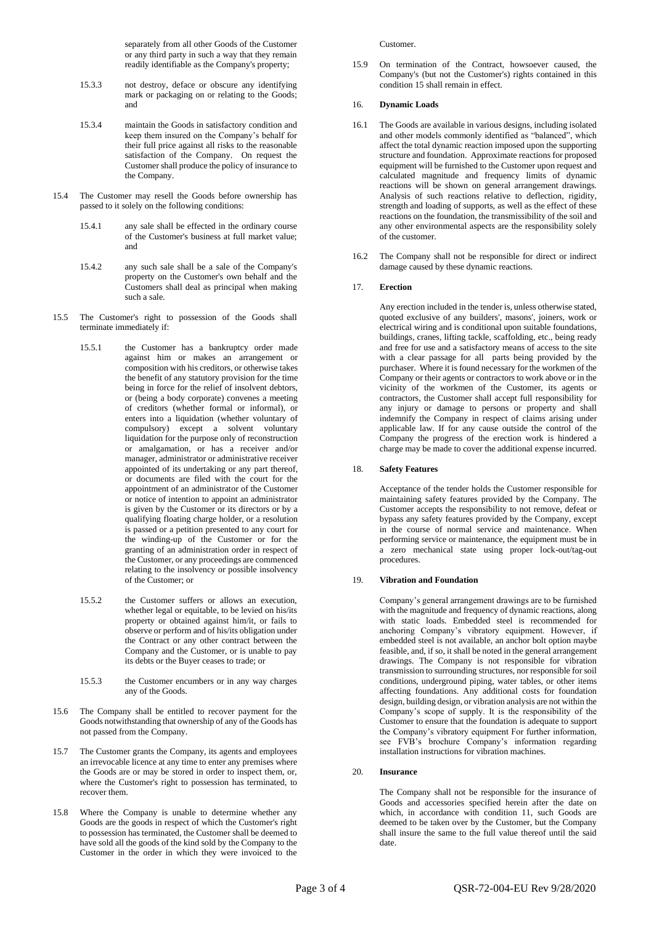separately from all other Goods of the Customer or any third party in such a way that they remain readily identifiable as the Company's property;

- 15.3.3 not destroy, deface or obscure any identifying mark or packaging on or relating to the Goods; and
- 15.3.4 maintain the Goods in satisfactory condition and keep them insured on the Company's behalf for their full price against all risks to the reasonable satisfaction of the Company. On request the Customer shall produce the policy of insurance to the Company.
- 15.4 The Customer may resell the Goods before ownership has passed to it solely on the following conditions:
	- 15.4.1 any sale shall be effected in the ordinary course of the Customer's business at full market value; and
	- 15.4.2 any such sale shall be a sale of the Company's property on the Customer's own behalf and the Customers shall deal as principal when making such a sale.
- 15.5 The Customer's right to possession of the Goods shall terminate immediately if:
	- 15.5.1 the Customer has a bankruptcy order made against him or makes an arrangement or composition with his creditors, or otherwise takes the benefit of any statutory provision for the time being in force for the relief of insolvent debtors, or (being a body corporate) convenes a meeting of creditors (whether formal or informal), or enters into a liquidation (whether voluntary of compulsory) except a solvent voluntary liquidation for the purpose only of reconstruction or amalgamation, or has a receiver and/or manager, administrator or administrative receiver appointed of its undertaking or any part thereof, or documents are filed with the court for the appointment of an administrator of the Customer or notice of intention to appoint an administrator is given by the Customer or its directors or by a qualifying floating charge holder, or a resolution is passed or a petition presented to any court for the winding-up of the Customer or for the granting of an administration order in respect of the Customer, or any proceedings are commenced relating to the insolvency or possible insolvency of the Customer; or
	- 15.5.2 the Customer suffers or allows an execution, whether legal or equitable, to be levied on his/its property or obtained against him/it, or fails to observe or perform and of his/its obligation under the Contract or any other contract between the Company and the Customer, or is unable to pay its debts or the Buyer ceases to trade; or
	- 15.5.3 the Customer encumbers or in any way charges any of the Goods.
- 15.6 The Company shall be entitled to recover payment for the Goods notwithstanding that ownership of any of the Goods has not passed from the Company.
- 15.7 The Customer grants the Company, its agents and employees an irrevocable licence at any time to enter any premises where the Goods are or may be stored in order to inspect them, or, where the Customer's right to possession has terminated, to recover them.
- 15.8 Where the Company is unable to determine whether any Goods are the goods in respect of which the Customer's right to possession has terminated, the Customer shall be deemed to have sold all the goods of the kind sold by the Company to the Customer in the order in which they were invoiced to the

Customer.

15.9 On termination of the Contract, howsoever caused, the Company's (but not the Customer's) rights contained in this condition 15 shall remain in effect.

#### 16. **Dynamic Loads**

- 16.1 The Goods are available in various designs, including isolated and other models commonly identified as "balanced", which affect the total dynamic reaction imposed upon the supporting structure and foundation. Approximate reactions for proposed equipment will be furnished to the Customer upon request and calculated magnitude and frequency limits of dynamic reactions will be shown on general arrangement drawings. Analysis of such reactions relative to deflection, rigidity, strength and loading of supports, as well as the effect of these reactions on the foundation, the transmissibility of the soil and any other environmental aspects are the responsibility solely of the customer.
- 16.2 The Company shall not be responsible for direct or indirect damage caused by these dynamic reactions.

#### 17. **Erection**

Any erection included in the tender is, unless otherwise stated, quoted exclusive of any builders', masons', joiners, work or electrical wiring and is conditional upon suitable foundations, buildings, cranes, lifting tackle, scaffolding, etc., being ready and free for use and a satisfactory means of access to the site with a clear passage for all parts being provided by the purchaser. Where it is found necessary for the workmen of the Company or their agents or contractors to work above or in the vicinity of the workmen of the Customer, its agents or contractors, the Customer shall accept full responsibility for any injury or damage to persons or property and shall indemnify the Company in respect of claims arising under applicable law. If for any cause outside the control of the Company the progress of the erection work is hindered a charge may be made to cover the additional expense incurred.

### 18. **Safety Features**

Acceptance of the tender holds the Customer responsible for maintaining safety features provided by the Company. The Customer accepts the responsibility to not remove, defeat or bypass any safety features provided by the Company, except in the course of normal service and maintenance. When performing service or maintenance, the equipment must be in a zero mechanical state using proper lock-out/tag-out procedures.

#### 19. **Vibration and Foundation**

Company's general arrangement drawings are to be furnished with the magnitude and frequency of dynamic reactions, along with static loads. Embedded steel is recommended for anchoring Company's vibratory equipment. However, if embedded steel is not available, an anchor bolt option maybe feasible, and, if so, it shall be noted in the general arrangement drawings. The Company is not responsible for vibration transmission to surrounding structures, nor responsible for soil conditions, underground piping, water tables, or other items affecting foundations. Any additional costs for foundation design, building design, or vibration analysis are not within the Company's scope of supply. It is the responsibility of the Customer to ensure that the foundation is adequate to support the Company's vibratory equipment For further information, see FVB's brochure Company's information regarding installation instructions for vibration machines.

#### 20. **Insurance**

The Company shall not be responsible for the insurance of Goods and accessories specified herein after the date on which, in accordance with condition 11, such Goods are deemed to be taken over by the Customer, but the Company shall insure the same to the full value thereof until the said date.